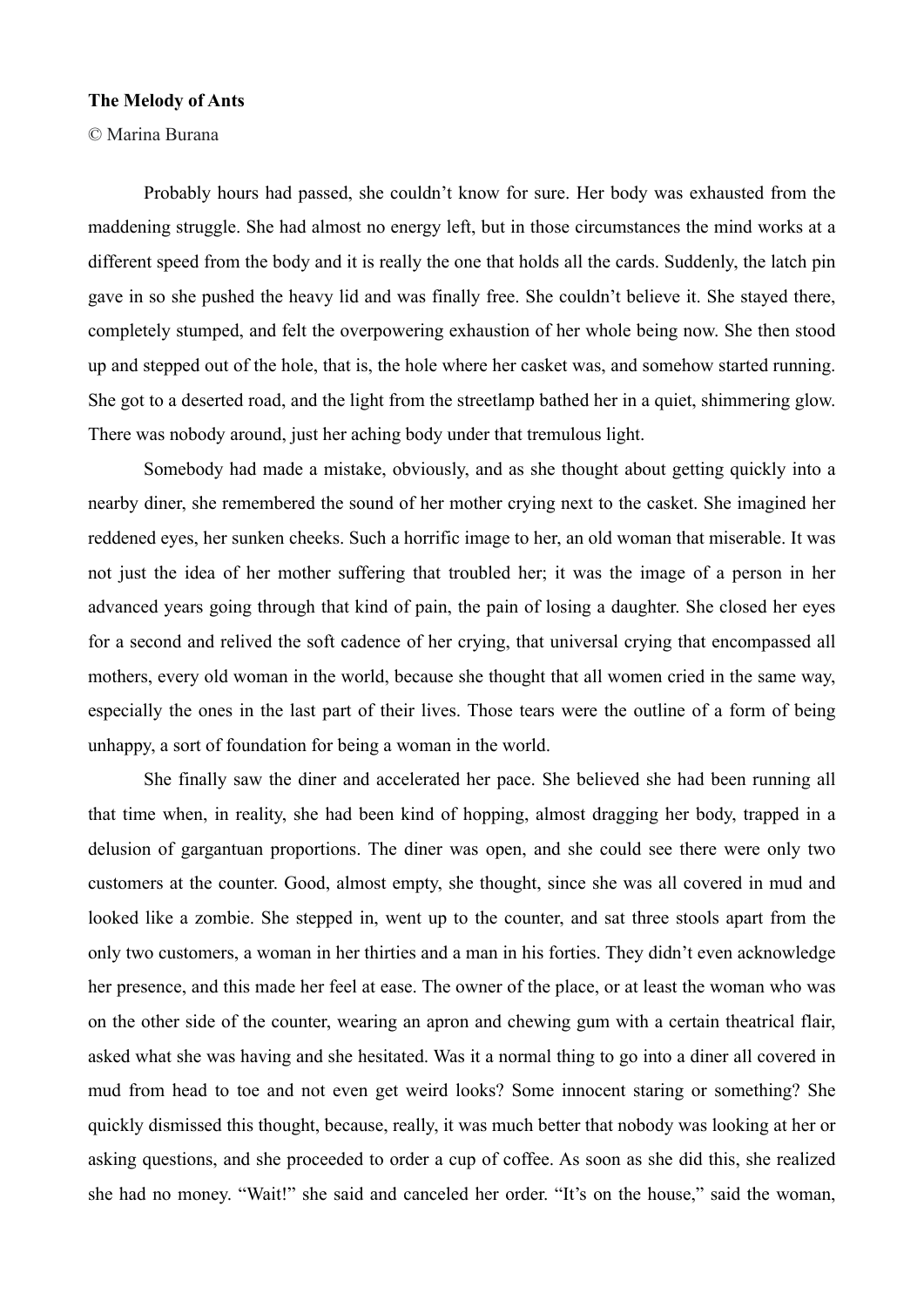## **The Melody of Ants**

© Marina Burana

Probably hours had passed, she couldn't know for sure. Her body was exhausted from the maddening struggle. She had almost no energy left, but in those circumstances the mind works at a different speed from the body and it is really the one that holds all the cards. Suddenly, the latch pin gave in so she pushed the heavy lid and was finally free. She couldn't believe it. She stayed there, completely stumped, and felt the overpowering exhaustion of her whole being now. She then stood up and stepped out of the hole, that is, the hole where her casket was, and somehow started running. She got to a deserted road, and the light from the streetlamp bathed her in a quiet, shimmering glow. There was nobody around, just her aching body under that tremulous light.

Somebody had made a mistake, obviously, and as she thought about getting quickly into a nearby diner, she remembered the sound of her mother crying next to the casket. She imagined her reddened eyes, her sunken cheeks. Such a horrific image to her, an old woman that miserable. It was not just the idea of her mother suffering that troubled her; it was the image of a person in her advanced years going through that kind of pain, the pain of losing a daughter. She closed her eyes for a second and relived the soft cadence of her crying, that universal crying that encompassed all mothers, every old woman in the world, because she thought that all women cried in the same way, especially the ones in the last part of their lives. Those tears were the outline of a form of being unhappy, a sort of foundation for being a woman in the world.

She finally saw the diner and accelerated her pace. She believed she had been running all that time when, in reality, she had been kind of hopping, almost dragging her body, trapped in a delusion of gargantuan proportions. The diner was open, and she could see there were only two customers at the counter. Good, almost empty, she thought, since she was all covered in mud and looked like a zombie. She stepped in, went up to the counter, and sat three stools apart from the only two customers, a woman in her thirties and a man in his forties. They didn't even acknowledge her presence, and this made her feel at ease. The owner of the place, or at least the woman who was on the other side of the counter, wearing an apron and chewing gum with a certain theatrical flair, asked what she was having and she hesitated. Was it a normal thing to go into a diner all covered in mud from head to toe and not even get weird looks? Some innocent staring or something? She quickly dismissed this thought, because, really, it was much better that nobody was looking at her or asking questions, and she proceeded to order a cup of coffee. As soon as she did this, she realized she had no money. "Wait!" she said and canceled her order. "It's on the house," said the woman,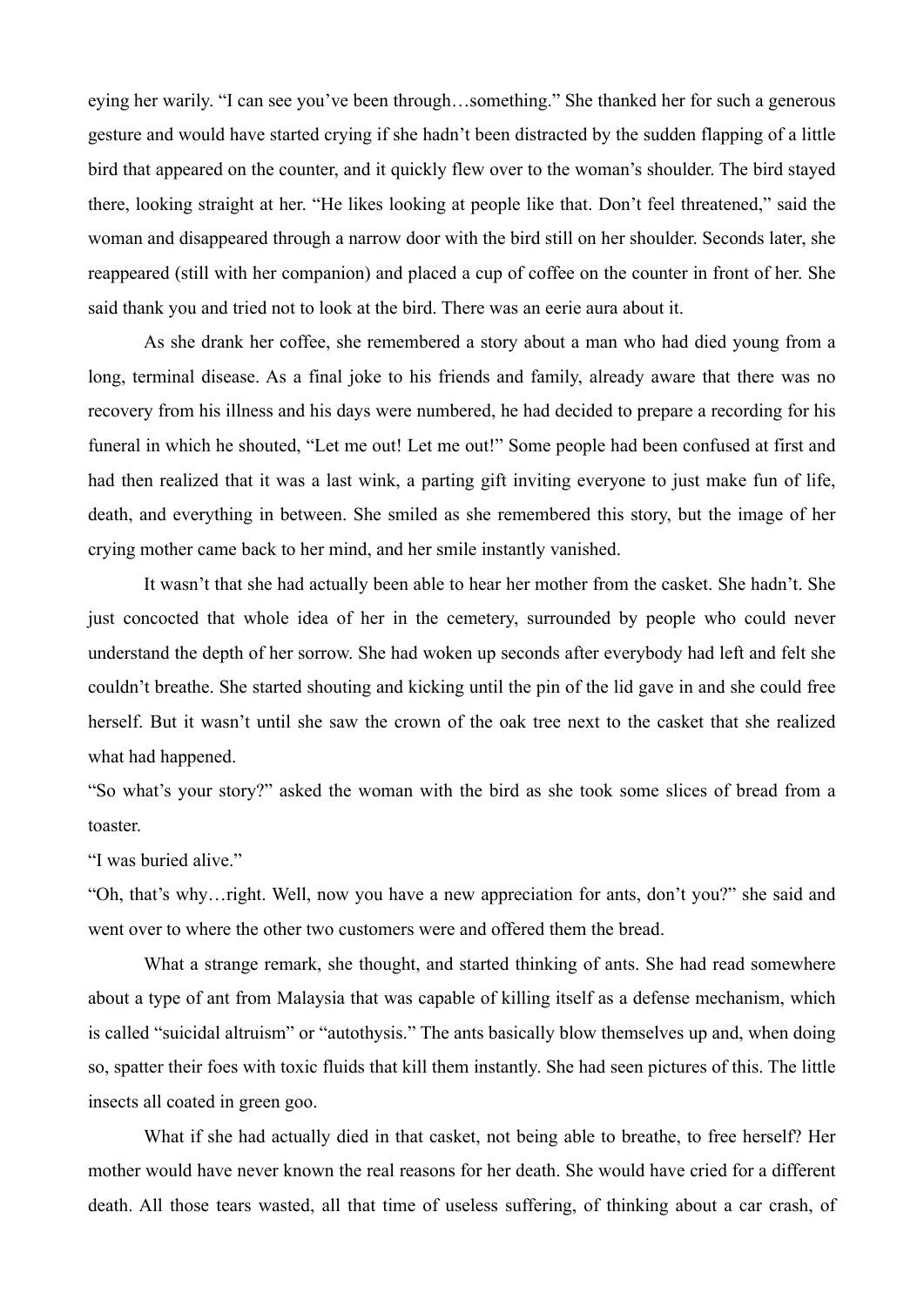eying her warily. "I can see you've been through…something." She thanked her for such a generous gesture and would have started crying if she hadn't been distracted by the sudden flapping of a little bird that appeared on the counter, and it quickly flew over to the woman's shoulder. The bird stayed there, looking straight at her. "He likes looking at people like that. Don't feel threatened," said the woman and disappeared through a narrow door with the bird still on her shoulder. Seconds later, she reappeared (still with her companion) and placed a cup of coffee on the counter in front of her. She said thank you and tried not to look at the bird. There was an eerie aura about it.

As she drank her coffee, she remembered a story about a man who had died young from a long, terminal disease. As a final joke to his friends and family, already aware that there was no recovery from his illness and his days were numbered, he had decided to prepare a recording for his funeral in which he shouted, "Let me out! Let me out!" Some people had been confused at first and had then realized that it was a last wink, a parting gift inviting everyone to just make fun of life, death, and everything in between. She smiled as she remembered this story, but the image of her crying mother came back to her mind, and her smile instantly vanished.

It wasn't that she had actually been able to hear her mother from the casket. She hadn't. She just concocted that whole idea of her in the cemetery, surrounded by people who could never understand the depth of her sorrow. She had woken up seconds after everybody had left and felt she couldn't breathe. She started shouting and kicking until the pin of the lid gave in and she could free herself. But it wasn't until she saw the crown of the oak tree next to the casket that she realized what had happened.

"So what's your story?" asked the woman with the bird as she took some slices of bread from a toaster.

"I was buried alive."

"Oh, that's why…right. Well, now you have a new appreciation for ants, don't you?" she said and went over to where the other two customers were and offered them the bread.

What a strange remark, she thought, and started thinking of ants. She had read somewhere about a type of ant from Malaysia that was capable of killing itself as a defense mechanism, which is called "suicidal altruism" or "autothysis." The ants basically blow themselves up and, when doing so, spatter their foes with toxic fluids that kill them instantly. She had seen pictures of this. The little insects all coated in green goo.

What if she had actually died in that casket, not being able to breathe, to free herself? Her mother would have never known the real reasons for her death. She would have cried for a different death. All those tears wasted, all that time of useless suffering, of thinking about a car crash, of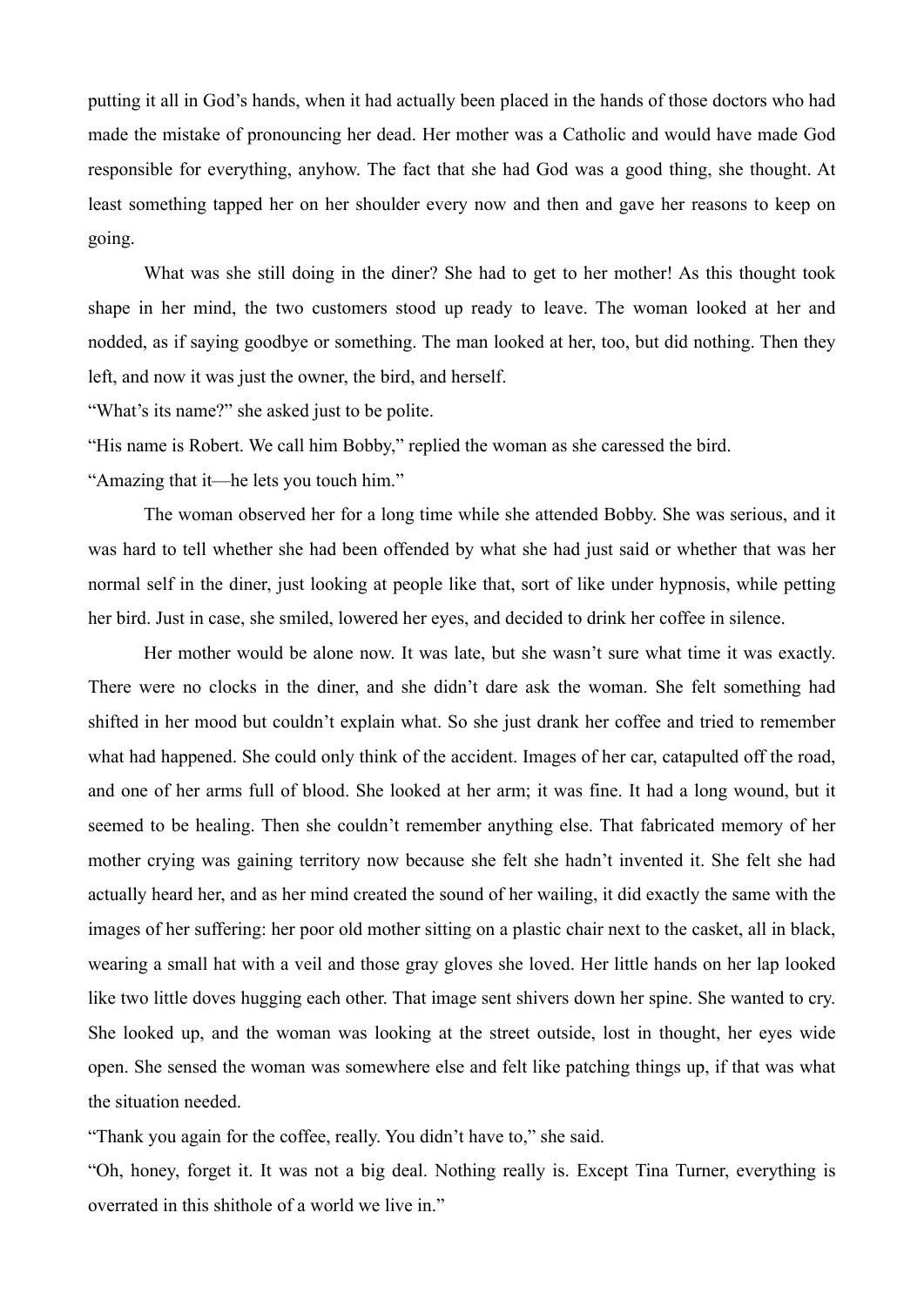putting it all in God's hands, when it had actually been placed in the hands of those doctors who had made the mistake of pronouncing her dead. Her mother was a Catholic and would have made God responsible for everything, anyhow. The fact that she had God was a good thing, she thought. At least something tapped her on her shoulder every now and then and gave her reasons to keep on going.

What was she still doing in the diner? She had to get to her mother! As this thought took shape in her mind, the two customers stood up ready to leave. The woman looked at her and nodded, as if saying goodbye or something. The man looked at her, too, but did nothing. Then they left, and now it was just the owner, the bird, and herself.

"What's its name?" she asked just to be polite.

"His name is Robert. We call him Bobby," replied the woman as she caressed the bird.

"Amazing that it—he lets you touch him."

The woman observed her for a long time while she attended Bobby. She was serious, and it was hard to tell whether she had been offended by what she had just said or whether that was her normal self in the diner, just looking at people like that, sort of like under hypnosis, while petting her bird. Just in case, she smiled, lowered her eyes, and decided to drink her coffee in silence.

Her mother would be alone now. It was late, but she wasn't sure what time it was exactly. There were no clocks in the diner, and she didn't dare ask the woman. She felt something had shifted in her mood but couldn't explain what. So she just drank her coffee and tried to remember what had happened. She could only think of the accident. Images of her car, catapulted off the road, and one of her arms full of blood. She looked at her arm; it was fine. It had a long wound, but it seemed to be healing. Then she couldn't remember anything else. That fabricated memory of her mother crying was gaining territory now because she felt she hadn't invented it. She felt she had actually heard her, and as her mind created the sound of her wailing, it did exactly the same with the images of her suffering: her poor old mother sitting on a plastic chair next to the casket, all in black, wearing a small hat with a veil and those gray gloves she loved. Her little hands on her lap looked like two little doves hugging each other. That image sent shivers down her spine. She wanted to cry. She looked up, and the woman was looking at the street outside, lost in thought, her eyes wide open. She sensed the woman was somewhere else and felt like patching things up, if that was what the situation needed.

"Thank you again for the coffee, really. You didn't have to," she said.

"Oh, honey, forget it. It was not a big deal. Nothing really is. Except Tina Turner, everything is overrated in this shithole of a world we live in."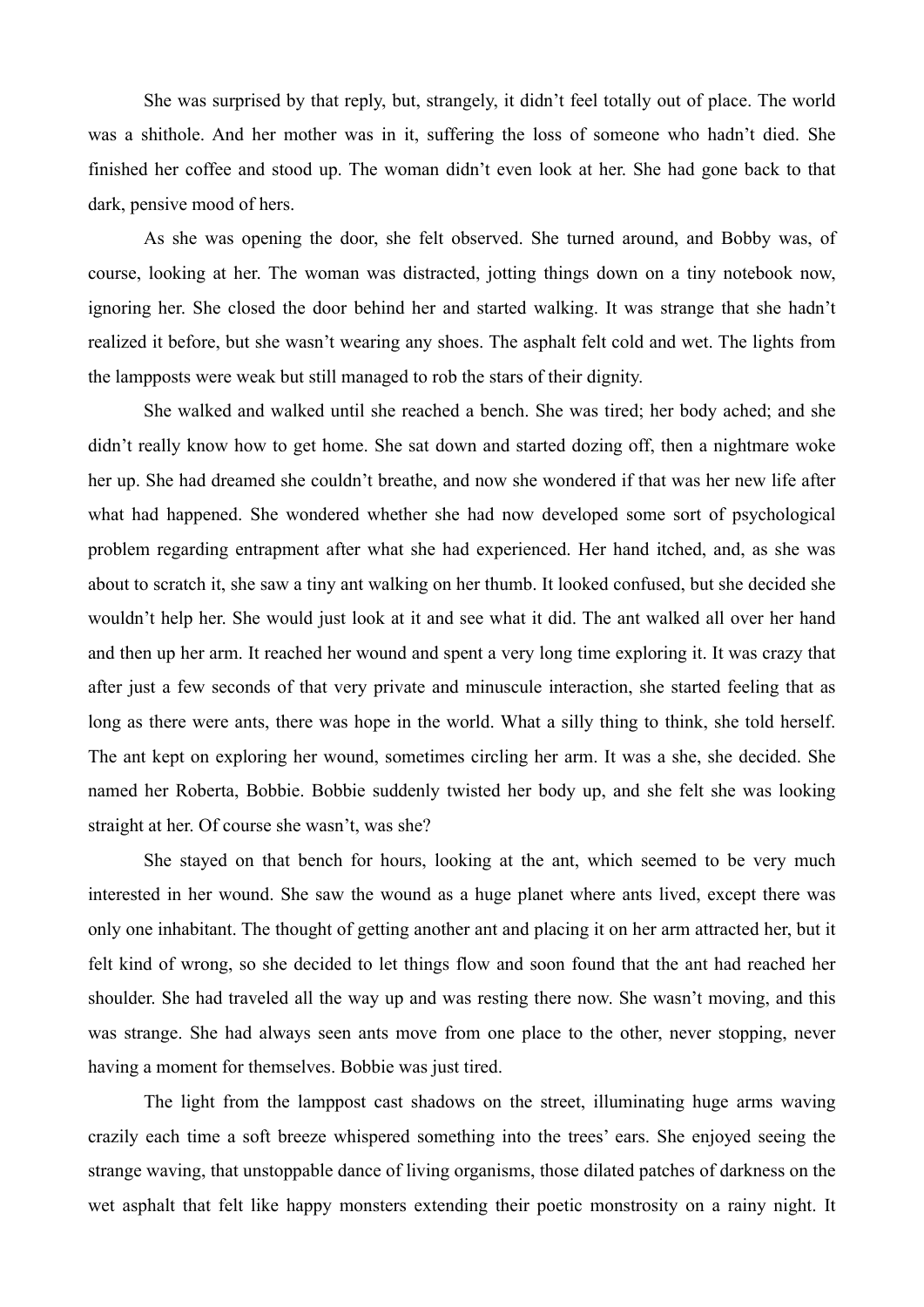She was surprised by that reply, but, strangely, it didn't feel totally out of place. The world was a shithole. And her mother was in it, suffering the loss of someone who hadn't died. She finished her coffee and stood up. The woman didn't even look at her. She had gone back to that dark, pensive mood of hers.

As she was opening the door, she felt observed. She turned around, and Bobby was, of course, looking at her. The woman was distracted, jotting things down on a tiny notebook now, ignoring her. She closed the door behind her and started walking. It was strange that she hadn't realized it before, but she wasn't wearing any shoes. The asphalt felt cold and wet. The lights from the lampposts were weak but still managed to rob the stars of their dignity.

She walked and walked until she reached a bench. She was tired; her body ached; and she didn't really know how to get home. She sat down and started dozing off, then a nightmare woke her up. She had dreamed she couldn't breathe, and now she wondered if that was her new life after what had happened. She wondered whether she had now developed some sort of psychological problem regarding entrapment after what she had experienced. Her hand itched, and, as she was about to scratch it, she saw a tiny ant walking on her thumb. It looked confused, but she decided she wouldn't help her. She would just look at it and see what it did. The ant walked all over her hand and then up her arm. It reached her wound and spent a very long time exploring it. It was crazy that after just a few seconds of that very private and minuscule interaction, she started feeling that as long as there were ants, there was hope in the world. What a silly thing to think, she told herself. The ant kept on exploring her wound, sometimes circling her arm. It was a she, she decided. She named her Roberta, Bobbie. Bobbie suddenly twisted her body up, and she felt she was looking straight at her. Of course she wasn't, was she?

She stayed on that bench for hours, looking at the ant, which seemed to be very much interested in her wound. She saw the wound as a huge planet where ants lived, except there was only one inhabitant. The thought of getting another ant and placing it on her arm attracted her, but it felt kind of wrong, so she decided to let things flow and soon found that the ant had reached her shoulder. She had traveled all the way up and was resting there now. She wasn't moving, and this was strange. She had always seen ants move from one place to the other, never stopping, never having a moment for themselves. Bobbie was just tired.

The light from the lamppost cast shadows on the street, illuminating huge arms waving crazily each time a soft breeze whispered something into the trees' ears. She enjoyed seeing the strange waving, that unstoppable dance of living organisms, those dilated patches of darkness on the wet asphalt that felt like happy monsters extending their poetic monstrosity on a rainy night. It